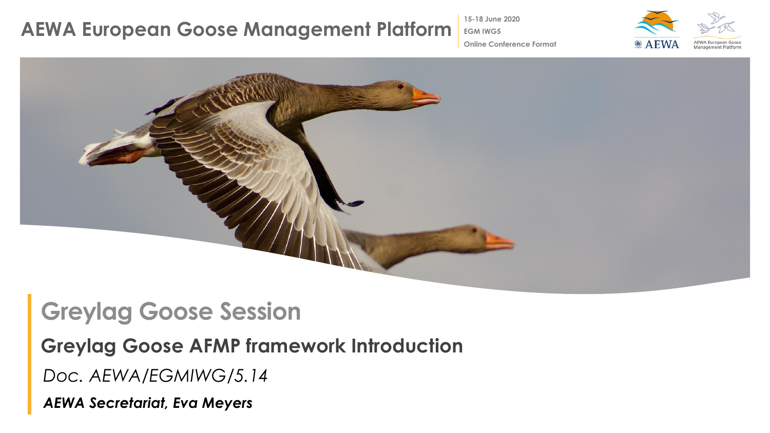### **AEWA European Goose Management Platform**

**15-18 June 2020**

**EGM IWG5**



**Online Conference Format**



## **Greylag Goose Session**

#### **Greylag Goose AFMP framework Introduction**

*Doc. AEWA/EGMIWG/5.14*

*AEWA Secretariat, Eva Meyers*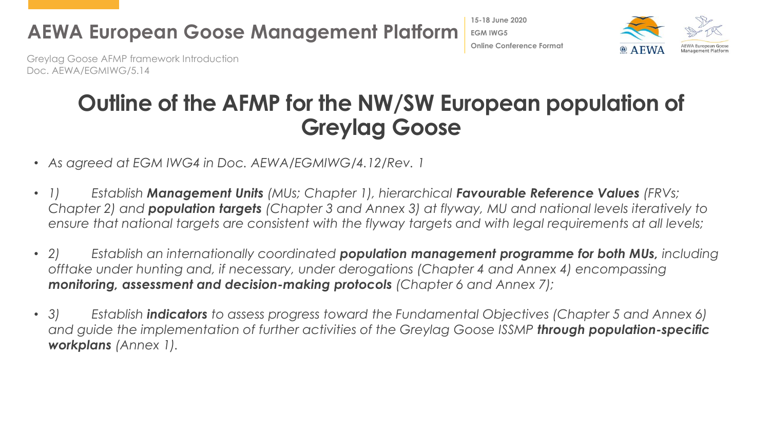

**15-18 June 2020 EGM IWG5 Online Conference Format**



Greylag Goose AFMP framework Introduction Doc. AEWA/EGMIWG/5.14

### **Outline of the AFMP for the NW/SW European population of Greylag Goose**

- *As agreed at EGM IWG4 in Doc. AEWA/EGMIWG/4.12/Rev. 1*
- *1) Establish Management Units (MUs; Chapter 1), hierarchical Favourable Reference Values (FRVs; Chapter 2) and population targets (Chapter 3 and Annex 3) at flyway, MU and national levels iteratively to ensure that national targets are consistent with the flyway targets and with legal requirements at all levels;*
- *2) Establish an internationally coordinated population management programme for both MUs, including offtake under hunting and, if necessary, under derogations (Chapter 4 and Annex 4) encompassing monitoring, assessment and decision-making protocols (Chapter 6 and Annex 7);*
- *3) Establish indicators to assess progress toward the Fundamental Objectives (Chapter 5 and Annex 6)*  and guide the implementation of further activities of the Greylag Goose ISSMP **through population-specific** *workplans (Annex 1).*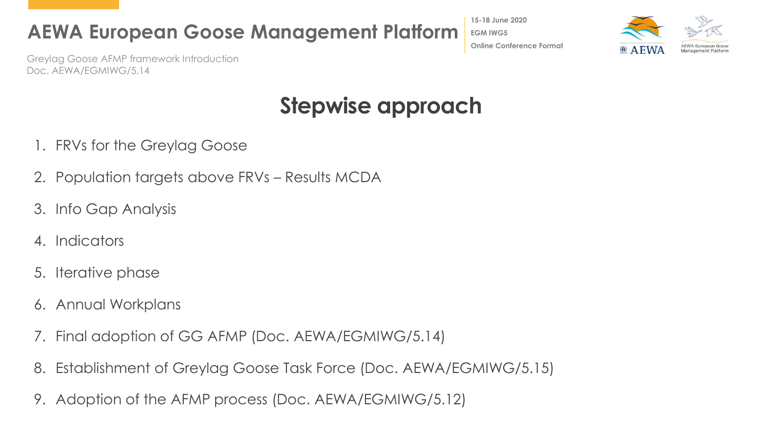**AEWA European Goose Management Platform**

**15-18 June 2020 EGM IWG5 Online Conference Format**



Greylag Goose AFMP framework Introduction Doc. AEWA/EGMIWG/5.14

# **Stepwise approach**

- 1. FRVs for the Greylag Goose
- 2. Population targets above FRVs Results MCDA
- 3. Info Gap Analysis
- 4. Indicators
- 5. Iterative phase
- 6. Annual Workplans
- 7. Final adoption of GG AFMP (Doc. AEWA/EGMIWG/5.14)
- 8. Establishment of Greylag Goose Task Force (Doc. AEWA/EGMIWG/5.15)
- 9. Adoption of the AFMP process (Doc. AEWA/EGMIWG/5.12)